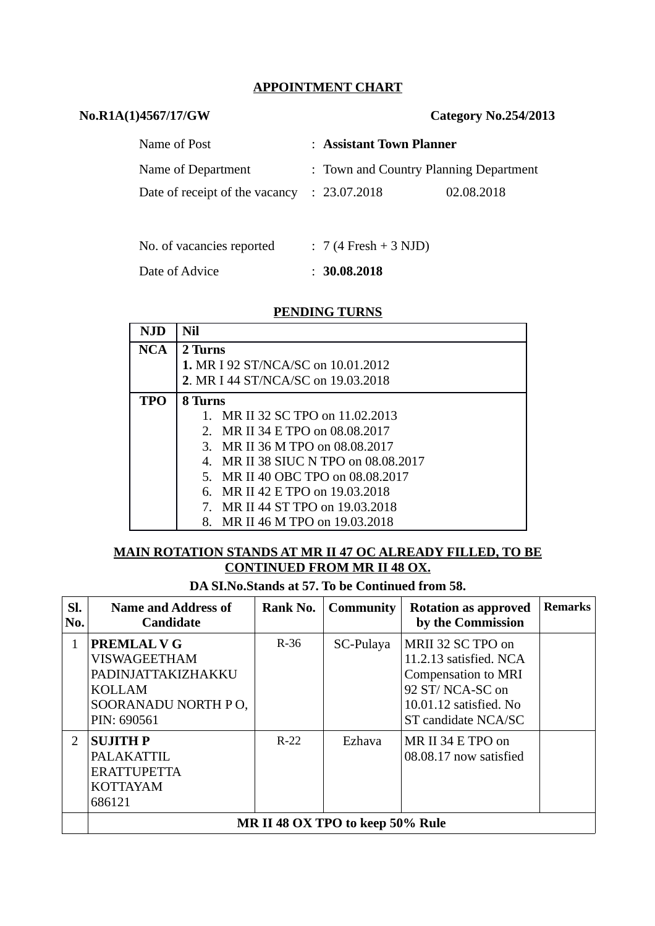### **APPOINTMENT CHART**

### **No.R1A(1)4567/17/GW Category No.254/2013**

| Name of Post                                           | : Assistant Town Planner               |            |
|--------------------------------------------------------|----------------------------------------|------------|
| Name of Department                                     | : Town and Country Planning Department |            |
| Date of receipt of the vacancy $\therefore$ 23.07.2018 |                                        | 02.08.2018 |
|                                                        |                                        |            |

| No. of vacancies reported | $: 7(4$ Fresh + 3 NJD) |
|---------------------------|------------------------|
| Date of Advice            | : 30.08.2018           |

#### **PENDING TURNS**

| <b>NJD</b> | Nil                                       |  |  |  |  |  |
|------------|-------------------------------------------|--|--|--|--|--|
| <b>NCA</b> | 2 Turns                                   |  |  |  |  |  |
|            | <b>1. MR I 92 ST/NCA/SC on 10.01.2012</b> |  |  |  |  |  |
|            | 2. MR I 44 ST/NCA/SC on 19.03.2018        |  |  |  |  |  |
| <b>TPO</b> | 8 Turns                                   |  |  |  |  |  |
|            | 1. MR II 32 SC TPO on 11.02.2013          |  |  |  |  |  |
|            | 2. MR II 34 E TPO on 08.08.2017           |  |  |  |  |  |
|            | 3. MR II 36 M TPO on 08,08,2017           |  |  |  |  |  |
|            | 4. MR II 38 SIUC N TPO on 08.08.2017      |  |  |  |  |  |
|            | 5. MR II 40 OBC TPO on 08.08.2017         |  |  |  |  |  |
|            | 6. MR II 42 E TPO on 19.03.2018           |  |  |  |  |  |
|            | MR II 44 ST TPO on 19.03.2018<br>7.       |  |  |  |  |  |
|            | MR II 46 M TPO on 19.03.2018<br>8.        |  |  |  |  |  |

## **MAIN ROTATION STANDS AT MR II 47 OC ALREADY FILLED, TO BE CONTINUED FROM MR II 48 OX.**

**DA SI.No.Stands at 57. To be Continued from 58.**

| SI.<br>No.    | <b>Name and Address of</b><br><b>Candidate</b>                                                                         | Rank No. | <b>Community</b> | <b>Rotation as approved</b><br>by the Commission                                                                                              | <b>Remarks</b> |
|---------------|------------------------------------------------------------------------------------------------------------------------|----------|------------------|-----------------------------------------------------------------------------------------------------------------------------------------------|----------------|
| 1             | <b>PREMLAL V G</b><br><b>VISWAGEETHAM</b><br>PADINJATTAKIZHAKKU<br><b>KOLLAM</b><br>SOORANADU NORTH PO,<br>PIN: 690561 | $R-36$   | SC-Pulaya        | MRII 32 SC TPO on<br>11.2.13 satisfied. NCA<br><b>Compensation to MRI</b><br>92 ST/NCA-SC on<br>10.01.12 satisfied. No<br>ST candidate NCA/SC |                |
| $\mathcal{L}$ | <b>SUJITH P</b><br><b>PALAKATTIL</b><br><b>ERATTUPETTA</b><br><b>KOTTAYAM</b><br>686121                                | $R-22$   | Ezhava           | MR II 34 E TPO on<br>08.08.17 now satisfied                                                                                                   |                |
|               | MR II 48 OX TPO to keep 50% Rule                                                                                       |          |                  |                                                                                                                                               |                |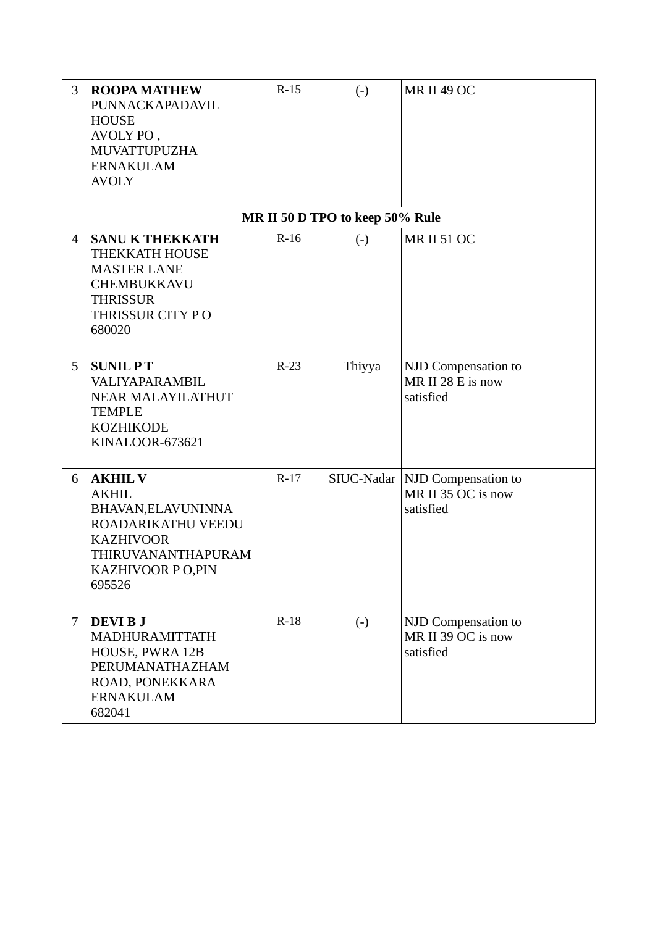| 3              | <b>ROOPA MATHEW</b><br>PUNNACKAPADAVIL<br><b>HOUSE</b><br>AVOLY PO,<br><b>MUVATTUPUZHA</b><br><b>ERNAKULAM</b><br><b>AVOLY</b>                     | $R-15$ | $\left( -\right)$               | <b>MR II 49 OC</b>                                            |  |
|----------------|----------------------------------------------------------------------------------------------------------------------------------------------------|--------|---------------------------------|---------------------------------------------------------------|--|
|                |                                                                                                                                                    |        | MR II 50 D TPO to keep 50% Rule |                                                               |  |
| $\overline{4}$ | <b>SANU K THEKKATH</b><br>THEKKATH HOUSE<br><b>MASTER LANE</b><br>CHEMBUKKAVU<br><b>THRISSUR</b><br>THRISSUR CITY PO<br>680020                     | $R-16$ | $\left( -\right)$               | <b>MR II 51 OC</b>                                            |  |
| 5              | <b>SUNIL PT</b><br><b>VALIYAPARAMBIL</b><br><b>NEAR MALAYILATHUT</b><br><b>TEMPLE</b><br><b>KOZHIKODE</b><br><b>KINALOOR-673621</b>                | $R-23$ | Thiyya                          | NJD Compensation to<br>MR II 28 E is now<br>satisfied         |  |
| 6              | <b>AKHIL V</b><br><b>AKHIL</b><br>BHAVAN, ELAVUNINNA<br>ROADARIKATHU VEEDU<br><b>KAZHIVOOR</b><br>THIRUVANANTHAPURAM<br>KAZHIVOOR PO,PIN<br>695526 | $R-17$ | SIUC-Nadar                      | <b>NJD</b> Compensation to<br>MR II 35 OC is now<br>satisfied |  |
| 7              | <b>DEVIBJ</b><br>MADHURAMITTATH<br>HOUSE, PWRA 12B<br>PERUMANATHAZHAM<br>ROAD, PONEKKARA<br><b>ERNAKULAM</b><br>682041                             | $R-18$ | $(-)$                           | NJD Compensation to<br>MR II 39 OC is now<br>satisfied        |  |